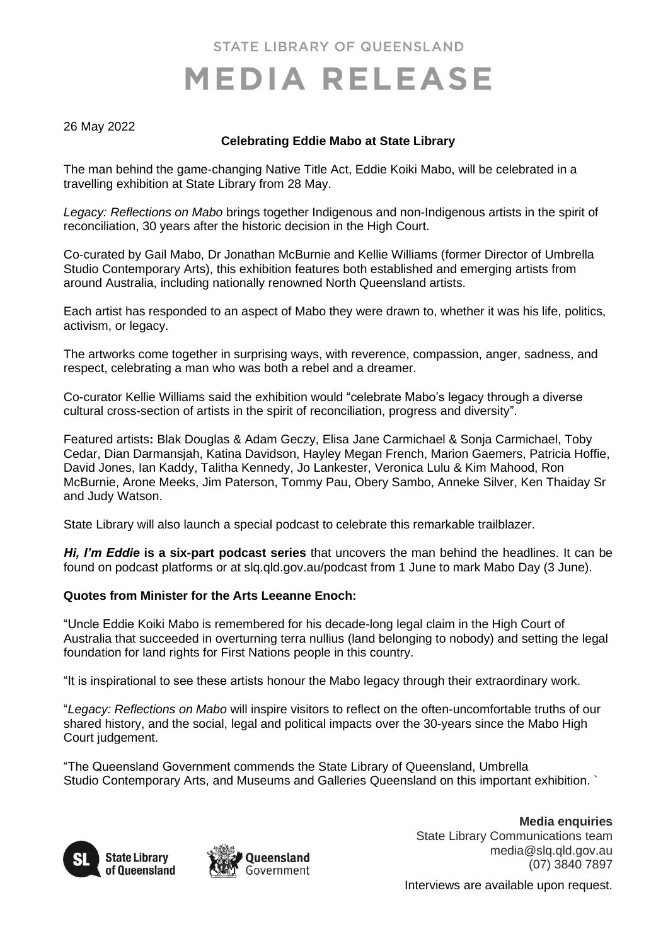STATE LIBRARY OF QUEENSLAND

# **MEDIA RELEASE**

### 26 May 2022

# **Celebrating Eddie Mabo at State Library**

The man behind the game-changing Native Title Act, Eddie Koiki Mabo, will be celebrated in a travelling exhibition at State Library from 28 May.

*Legacy: Reflections on Mabo* brings together Indigenous and non-Indigenous artists in the spirit of reconciliation, 30 years after the historic decision in the High Court.

Co-curated by Gail Mabo, Dr Jonathan McBurnie and Kellie Williams (former Director of Umbrella Studio Contemporary Arts), this exhibition features both established and emerging artists from around Australia, including nationally renowned North Queensland artists.

Each artist has responded to an aspect of Mabo they were drawn to, whether it was his life, politics, activism, or legacy.

The artworks come together in surprising ways, with reverence, compassion, anger, sadness, and respect, celebrating a man who was both a rebel and a dreamer.

Co-curator Kellie Williams said the exhibition would "celebrate Mabo's legacy through a diverse cultural cross-section of artists in the spirit of reconciliation, progress and diversity".

Featured artists**:** Blak Douglas & Adam Geczy, Elisa Jane Carmichael & Sonja Carmichael, Toby Cedar, Dian Darmansjah, Katina Davidson, Hayley Megan French, Marion Gaemers, Patricia Hoffie, David Jones, Ian Kaddy, Talitha Kennedy, Jo Lankester, Veronica Lulu & Kim Mahood, Ron McBurnie, Arone Meeks, Jim Paterson, Tommy Pau, Obery Sambo, Anneke Silver, Ken Thaiday Sr and Judy Watson.

State Library will also launch a special podcast to celebrate this remarkable trailblazer.

*Hi, I'm Eddie* **is a six-part podcast series** that uncovers the man behind the headlines. It can be found on podcast platforms or at slq.qld.gov.au/podcast from 1 June to mark Mabo Day (3 June).

### **Quotes from Minister for the Arts Leeanne Enoch:**

"Uncle Eddie Koiki Mabo is remembered for his decade-long legal claim in the High Court of Australia that succeeded in overturning terra nullius (land belonging to nobody) and setting the legal foundation for land rights for First Nations people in this country.

"It is inspirational to see these artists honour the Mabo legacy through their extraordinary work.

"*Legacy: Reflections on Mabo* will inspire visitors to reflect on the often-uncomfortable truths of our shared history, and the social, legal and political impacts over the 30-years since the Mabo High Court judgement.

"The Queensland Government commends the State Library of Queensland, Umbrella Studio Contemporary Arts, and Museums and Galleries Queensland on this important exhibition. `





**Media enquiries** State Library Communications team media@slq.qld.gov.au (07) 3840 7897

Interviews are available upon request.